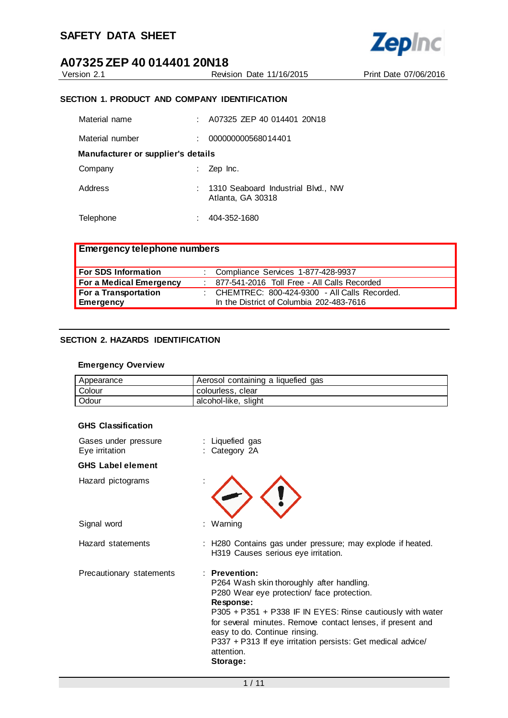

Version 2.1 Revision Date 11/16/2015 Print Date 07/06/2016

#### **SECTION 1. PRODUCT AND COMPANY IDENTIFICATION**

| Material name                      |   | A07325 ZEP 40 014401 20N18                              |
|------------------------------------|---|---------------------------------------------------------|
| Material number                    | ÷ | 000000000568014401                                      |
| Manufacturer or supplier's details |   |                                                         |
| Company                            |   | Zep Inc.                                                |
| Address                            |   | 1310 Seaboard Industrial Blvd., NW<br>Atlanta, GA 30318 |
| Telephone                          |   | 404-352-1680                                            |

| <b>Emergency telephone numbers</b> |                                                |
|------------------------------------|------------------------------------------------|
| <b>For SDS Information</b>         | : Compliance Services 1-877-428-9937           |
| For a Medical Emergency            | 877-541-2016 Toll Free - All Calls Recorded    |
| For a Transportation               | : CHEMTREC: 800-424-9300 - All Calls Recorded. |
| <b>Emergency</b>                   | In the District of Columbia 202-483-7616       |

#### **SECTION 2. HAZARDS IDENTIFICATION**

#### **Emergency Overview**

| Appearance | Aerosol containing a liquefied gas |
|------------|------------------------------------|
| Colour     | colourless, clear                  |
| Odour      | alcohol-like, slight               |

#### **GHS Classification**

| Gases under pressure<br>Eye irritation | : Liquefied gas<br>: Category 2A                                                                                                                                                                                                                                                                                                                                              |
|----------------------------------------|-------------------------------------------------------------------------------------------------------------------------------------------------------------------------------------------------------------------------------------------------------------------------------------------------------------------------------------------------------------------------------|
| <b>GHS Label element</b>               |                                                                                                                                                                                                                                                                                                                                                                               |
| Hazard pictograms                      |                                                                                                                                                                                                                                                                                                                                                                               |
| Signal word                            | : Warning                                                                                                                                                                                                                                                                                                                                                                     |
| Hazard statements                      | : H280 Contains gas under pressure; may explode if heated.<br>H319 Causes serious eye irritation.                                                                                                                                                                                                                                                                             |
| Precautionary statements               | $:$ Prevention:<br>P264 Wash skin thoroughly after handling.<br>P280 Wear eye protection/ face protection.<br>Response:<br>P305 + P351 + P338 IF IN EYES: Rinse cautiously with water<br>for several minutes. Remove contact lenses, if present and<br>easy to do. Continue rinsing.<br>P337 + P313 If eye irritation persists: Get medical advice/<br>attention.<br>Storage: |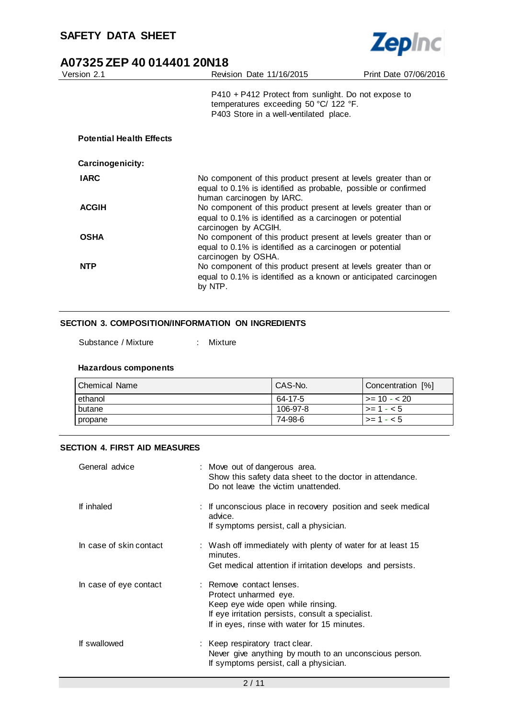

| A07325 ZEP 40 014401 20N18      |                                                                                                                                                               |                       |
|---------------------------------|---------------------------------------------------------------------------------------------------------------------------------------------------------------|-----------------------|
| Version 2.1                     | Revision Date 11/16/2015                                                                                                                                      | Print Date 07/06/2016 |
|                                 | $P410 + P412$ Protect from sunlight. Do not expose to<br>temperatures exceeding 50 °C/ 122 °F.<br>P403 Store in a well-ventilated place.                      |                       |
| <b>Potential Health Effects</b> |                                                                                                                                                               |                       |
| Carcinogenicity:                |                                                                                                                                                               |                       |
| <b>IARC</b>                     | No component of this product present at levels greater than or<br>equal to 0.1% is identified as probable, possible or confirmed<br>human carcinogen by IARC. |                       |
| <b>ACGIH</b>                    | No component of this product present at levels greater than or<br>equal to 0.1% is identified as a carcinogen or potential<br>carcinogen by ACGIH.            |                       |
| <b>OSHA</b>                     | No component of this product present at levels greater than or<br>equal to 0.1% is identified as a carcinogen or potential<br>carcinogen by OSHA.             |                       |
| <b>NTP</b>                      | No component of this product present at levels greater than or<br>equal to 0.1% is identified as a known or anticipated carcinogen<br>by NTP.                 |                       |

#### **SECTION 3. COMPOSITION/INFORMATION ON INGREDIENTS**

Substance / Mixture : Mixture

| <b>Chemical Name</b> | CAS-No.  | Concentration [%] |
|----------------------|----------|-------------------|
| ethanol              | 64-17-5  | l >= 10 - < 20    |
| butane               | 106-97-8 | $> = 1 - 5$       |
| propane              | 74-98-6  | $>= 1 - 5$        |

#### **SECTION 4. FIRST AID MEASURES**

**Hazardous components**

| General advice          | : Move out of dangerous area.<br>Show this safety data sheet to the doctor in attendance.<br>Do not leave the victim unattended.                                                            |
|-------------------------|---------------------------------------------------------------------------------------------------------------------------------------------------------------------------------------------|
| If inhaled              | : If unconscious place in recovery position and seek medical<br>advice.<br>If symptoms persist, call a physician.                                                                           |
| In case of skin contact | : Wash off immediately with plenty of water for at least 15<br>minutes.<br>Get medical attention if irritation develops and persists.                                                       |
| In case of eye contact  | : Remove contact lenses.<br>Protect unharmed eye.<br>Keep eye wide open while rinsing.<br>If eye irritation persists, consult a specialist.<br>If in eyes, rinse with water for 15 minutes. |
| If swallowed            | : Keep respiratory tract clear.<br>Never give anything by mouth to an unconscious person.<br>If symptoms persist, call a physician.                                                         |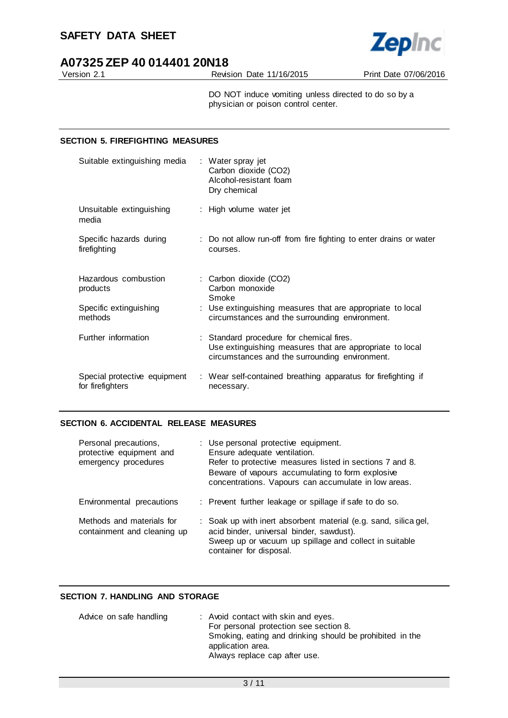

Version 2.1 Revision Date 11/16/2015 Print Date 07/06/2016

DO NOT induce vomiting unless directed to do so by a physician or poison control center.

#### **SECTION 5. FIREFIGHTING MEASURES**

| Suitable extinguishing media                     | : Water spray jet<br>Carbon dioxide (CO2)<br>Alcohol-resistant foam<br>Dry chemical                                                                    |
|--------------------------------------------------|--------------------------------------------------------------------------------------------------------------------------------------------------------|
| Unsuitable extinguishing<br>media                | : High volume water jet                                                                                                                                |
| Specific hazards during<br>firefighting          | : Do not allow run-off from fire fighting to enter drains or water<br>courses.                                                                         |
| Hazardous combustion<br>products                 | : Carbon dioxide (CO2)<br>Carbon monoxide<br>Smoke                                                                                                     |
| Specific extinguishing<br>methods                | : Use extinguishing measures that are appropriate to local<br>circumstances and the surrounding environment.                                           |
| Further information                              | : Standard procedure for chemical fires.<br>Use extinguishing measures that are appropriate to local<br>circumstances and the surrounding environment. |
| Special protective equipment<br>for firefighters | : Wear self-contained breathing apparatus for firefighting if<br>necessary.                                                                            |

#### **SECTION 6. ACCIDENTAL RELEASE MEASURES**

| Personal precautions,<br>protective equipment and<br>emergency procedures | : Use personal protective equipment.<br>Ensure adequate ventilation.<br>Refer to protective measures listed in sections 7 and 8.<br>Beware of vapours accumulating to form explosive<br>concentrations. Vapours can accumulate in low areas. |
|---------------------------------------------------------------------------|----------------------------------------------------------------------------------------------------------------------------------------------------------------------------------------------------------------------------------------------|
| Environmental precautions                                                 | : Prevent further leakage or spillage if safe to do so.                                                                                                                                                                                      |
| Methods and materials for<br>containment and cleaning up                  | : Soak up with inert absorbent material (e.g. sand, silica gel,<br>acid binder, universal binder, sawdust).<br>Sweep up or vacuum up spillage and collect in suitable<br>container for disposal.                                             |

#### **SECTION 7. HANDLING AND STORAGE**

| Advice on safe handling | : Avoid contact with skin and eyes.                      |
|-------------------------|----------------------------------------------------------|
|                         | For personal protection see section 8.                   |
|                         | Smoking, eating and drinking should be prohibited in the |
|                         | application area.                                        |
|                         | Always replace cap after use.                            |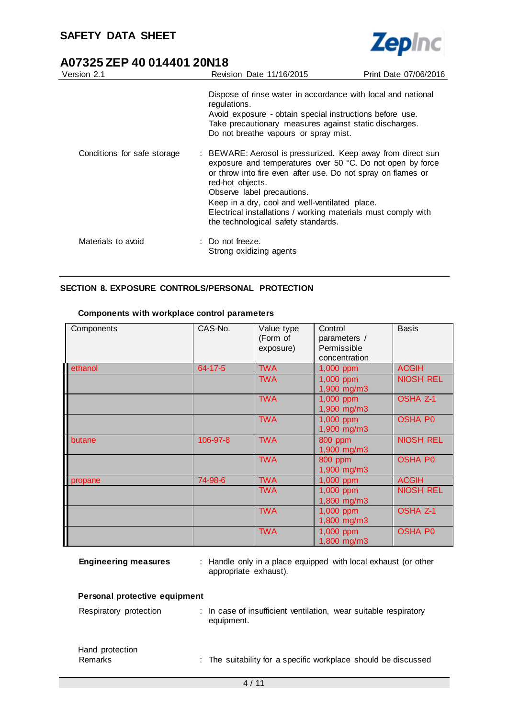$\overline{a}$ 



# **A07325 ZEP 40 014401 20N18**

| Version 2.1                 | Revision Date 11/16/2015                                                                                                                                                                                                                                                                                                                                                                              | Print Date 07/06/2016 |
|-----------------------------|-------------------------------------------------------------------------------------------------------------------------------------------------------------------------------------------------------------------------------------------------------------------------------------------------------------------------------------------------------------------------------------------------------|-----------------------|
|                             | Dispose of rinse water in accordance with local and national<br>regulations.<br>Avoid exposure - obtain special instructions before use.<br>Take precautionary measures against static discharges.<br>Do not breathe vapours or spray mist.                                                                                                                                                           |                       |
| Conditions for safe storage | : BEWARE: Aerosol is pressurized. Keep away from direct sun<br>exposure and temperatures over 50 °C. Do not open by force<br>or throw into fire even after use. Do not spray on flames or<br>red-hot objects.<br>Observe label precautions.<br>Keep in a dry, cool and well-ventilated place.<br>Electrical installations / working materials must comply with<br>the technological safety standards. |                       |
| Materials to avoid          | : Do not freeze.<br>Strong oxidizing agents                                                                                                                                                                                                                                                                                                                                                           |                       |

#### **SECTION 8. EXPOSURE CONTROLS/PERSONAL PROTECTION**

| Components | CAS-No.  | Value type<br>(Form of<br>exposure) | Control<br>parameters /<br>Permissible<br>concentration | <b>Basis</b>     |
|------------|----------|-------------------------------------|---------------------------------------------------------|------------------|
| ethanol    | 64-17-5  | <b>TWA</b>                          | 1,000 ppm                                               | <b>ACGIH</b>     |
|            |          | <b>TWA</b>                          | 1,000 ppm<br>1,900 mg/m3                                | <b>NIOSH REL</b> |
|            |          | <b>TWA</b>                          | 1,000 ppm<br>1,900 mg/m3                                | <b>OSHA Z-1</b>  |
|            |          | <b>TWA</b>                          | 1,000 ppm<br>1,900 mg/m3                                | <b>OSHA P0</b>   |
| butane     | 106-97-8 | <b>TWA</b>                          | 800 ppm<br>1,900 mg/m3                                  | <b>NIOSH REL</b> |
|            |          | <b>TWA</b>                          | 800 ppm<br>1,900 mg/m3                                  | <b>OSHA P0</b>   |
| propane    | 74-98-6  | <b>TWA</b>                          | 1,000 ppm                                               | <b>ACGIH</b>     |
|            |          | <b>TWA</b>                          | 1,000 ppm<br>1,800 mg/m3                                | <b>NIOSH REL</b> |
|            |          | <b>TWA</b>                          | 1,000 ppm<br>1,800 mg/m3                                | <b>OSHA Z-1</b>  |
|            |          | <b>TWA</b>                          | 1,000 ppm<br>1,800 mg/m3                                | <b>OSHA P0</b>   |

#### **Components with workplace control parameters**

|  | <b>Engineering measures</b> |  |
|--|-----------------------------|--|

**Engineering measures** : Handle only in a place equipped with local exhaust (or other appropriate exhaust).

#### **Personal protective equipment**

| Respiratory protection     | : In case of insufficient ventilation, wear suitable respiratory<br>equipment. |
|----------------------------|--------------------------------------------------------------------------------|
| Hand protection<br>Remarks | : The suitability for a specific workplace should be discussed                 |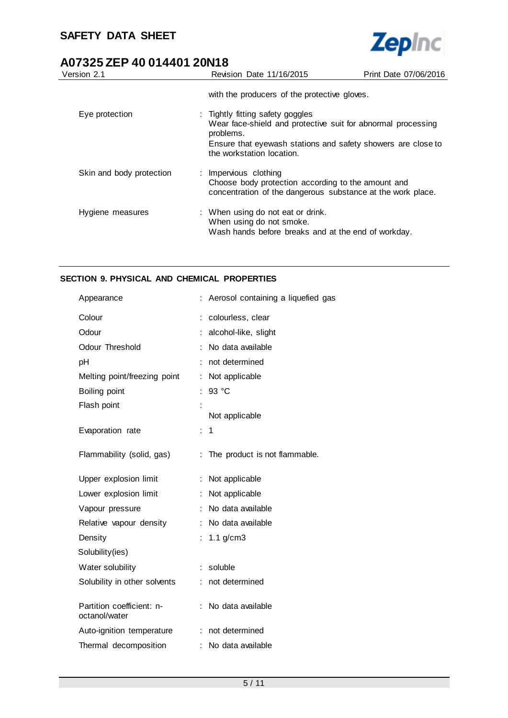

| Version 2.1              | Revision Date 11/16/2015                                                                                                                                                                                   | Print Date 07/06/2016 |
|--------------------------|------------------------------------------------------------------------------------------------------------------------------------------------------------------------------------------------------------|-----------------------|
|                          | with the producers of the protective gloves.                                                                                                                                                               |                       |
| Eye protection           | : Tightly fitting safety goggles<br>Wear face-shield and protective suit for abnormal processing<br>problems.<br>Ensure that eyewash stations and safety showers are close to<br>the workstation location. |                       |
| Skin and body protection | : Impervious clothing<br>Choose body protection according to the amount and<br>concentration of the dangerous substance at the work place.                                                                 |                       |
| Hygiene measures         | : When using do not eat or drink.<br>When using do not smoke.<br>Wash hands before breaks and at the end of workday.                                                                                       |                       |

#### **SECTION 9. PHYSICAL AND CHEMICAL PROPERTIES**

| Appearance                                 |    | Aerosol containing a liquefied gas |
|--------------------------------------------|----|------------------------------------|
| Colour                                     |    | colourless, clear                  |
| Odour                                      |    | alcohol-like, slight               |
| <b>Odour Threshold</b>                     |    | No data available                  |
| pH                                         |    | not determined                     |
| Melting point/freezing point               |    | Not applicable                     |
| Boiling point                              |    | 93 °C                              |
| Flash point                                |    |                                    |
|                                            |    | Not applicable                     |
| Evaporation rate                           | ÷. | 1                                  |
| Flammability (solid, gas)                  |    | The product is not flammable.      |
|                                            |    |                                    |
| Upper explosion limit                      |    | Not applicable                     |
| Lower explosion limit                      |    | Not applicable                     |
| Vapour pressure                            |    | No data available                  |
| Relative vapour density                    |    | No data available                  |
| Density                                    | t. | $1.1$ g/cm $3$                     |
| Solubility(ies)                            |    |                                    |
| Water solubility                           |    | soluble                            |
| Solubility in other solvents               |    | not determined                     |
| Partition coefficient: n-<br>octanol/water |    | No data available                  |
| Auto-ignition temperature                  |    | not determined                     |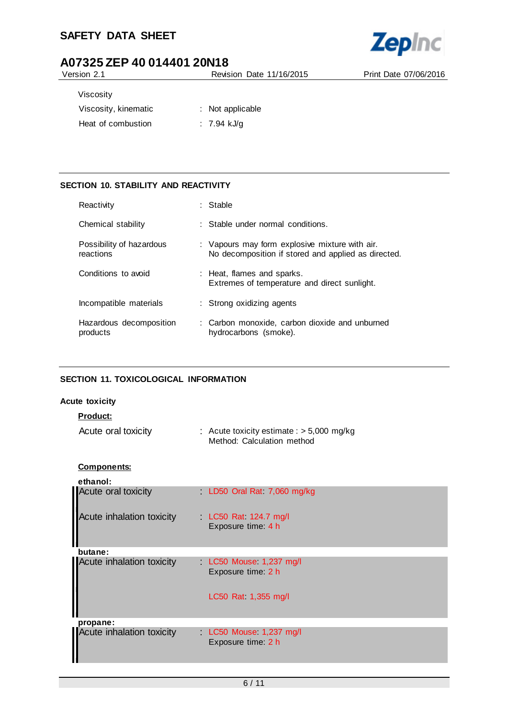# **SAFETY DATA SHEET**



# **A07325 ZEP 40 014401 20N18**

Version 2.1 Revision Date 11/16/2015 Print Date 07/06/2016

| Viscosity            |                  |
|----------------------|------------------|
| Viscosity, kinematic | : Not applicable |
| Heat of combustion   | : 7.94 kJ/a      |

#### **SECTION 10. STABILITY AND REACTIVITY**

| Reactivity                            | $:$ Stable                                                                                            |
|---------------------------------------|-------------------------------------------------------------------------------------------------------|
| Chemical stability                    | $\therefore$ Stable under normal conditions.                                                          |
| Possibility of hazardous<br>reactions | : Vapours may form explosive mixture with air.<br>No decomposition if stored and applied as directed. |
| Conditions to avoid                   | : Heat, flames and sparks.<br>Extremes of temperature and direct sunlight.                            |
| Incompatible materials                | : Strong oxidizing agents                                                                             |
| Hazardous decomposition<br>products   | : Carbon monoxide, carbon dioxide and unburned<br>hydrocarbons (smoke).                               |

#### **SECTION 11. TOXICOLOGICAL INFORMATION**

#### **Acute toxicity**

|  |  |  | odu | с |
|--|--|--|-----|---|
|--|--|--|-----|---|

| Acute oral toxicity | : Acute toxicity estimate : $> 5,000$ mg/kg |
|---------------------|---------------------------------------------|
|                     | Method: Calculation method                  |

#### **Components:**

| ethanol:                         |                                             |
|----------------------------------|---------------------------------------------|
| Acute oral toxicity              | LD50 Oral Rat 7,060 mg/kg                   |
| Acute inhalation toxicity        | LC50 Rat 124.7 mg/l<br>Exposure time: 4 h   |
| butane:                          |                                             |
| <b>Acute inhalation toxicity</b> | LC50 Mouse 1,237 mg/l<br>Exposure time: 2 h |
|                                  | LC50 Rat 1,355 mg/l                         |
| propane:                         |                                             |
| <b>Acute inhalation toxicity</b> | LC50 Mouse 1,237 mg/l<br>Exposure time: 2 h |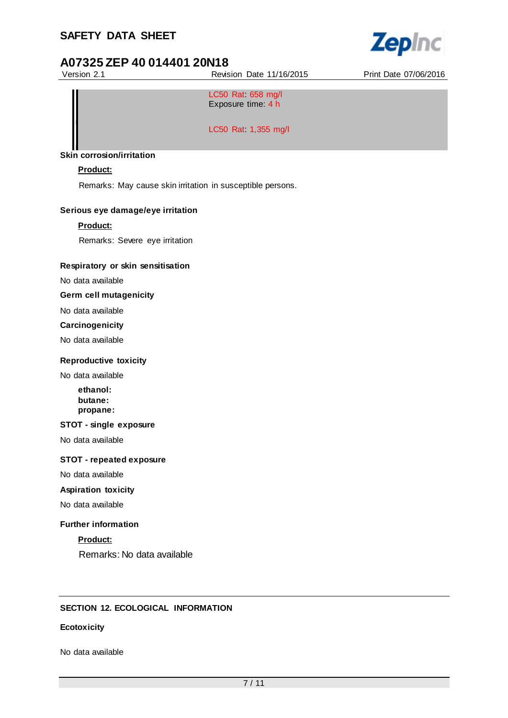# **SAFETY DATA SHEET**



# **A07325 ZEP 40 014401 20N18**

Version 2.1 Revision Date 11/16/2015 Print Date 07/06/2016

LC50 Rat: 658 mg/l Exposure time: 4 h

LC50 Rat: 1,355 mg/l

#### **Skin corrosion/irritation**

#### **Product:**

Remarks: May cause skin irritation in susceptible persons.

#### **Serious eye damage/eye irritation**

#### **Product:**

Remarks: Severe eye irritation

#### **Respiratory or skin sensitisation**

No data available

### **Germ cell mutagenicity**

No data available

#### **Carcinogenicity**

No data available

#### **Reproductive toxicity**

No data available

**ethanol: butane: propane:**

#### **STOT - single exposure**

No data available

#### **STOT - repeated exposure**

No data available

#### **Aspiration toxicity**

No data available

#### **Further information**

#### **Product:**

Remarks: No data available

### **SECTION 12. ECOLOGICAL INFORMATION**

#### **Ecotoxicity**

No data available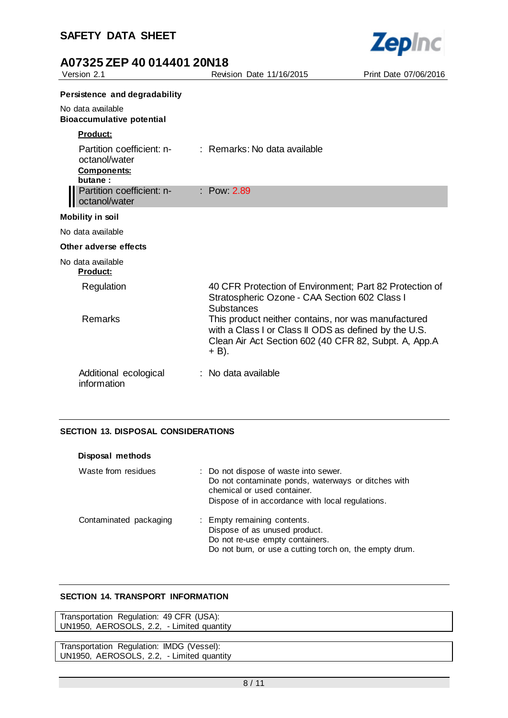

| Version 2.1                                                                 | Revision Date 11/16/2015                                                                                                                                                                                                                                                                                        | Print Date 07/06/2016 |
|-----------------------------------------------------------------------------|-----------------------------------------------------------------------------------------------------------------------------------------------------------------------------------------------------------------------------------------------------------------------------------------------------------------|-----------------------|
| Persistence and degradability                                               |                                                                                                                                                                                                                                                                                                                 |                       |
| No data available<br><b>Bioaccumulative potential</b>                       |                                                                                                                                                                                                                                                                                                                 |                       |
| <b>Product:</b>                                                             |                                                                                                                                                                                                                                                                                                                 |                       |
| Partition coefficient: n-<br>octanol/water<br><b>Components:</b><br>butane: | : Remarks: No data available                                                                                                                                                                                                                                                                                    |                       |
| Partition coefficient: n-<br>octanol/water                                  | : Pow 2.89                                                                                                                                                                                                                                                                                                      |                       |
| <b>Mobility in soil</b>                                                     |                                                                                                                                                                                                                                                                                                                 |                       |
| No data available                                                           |                                                                                                                                                                                                                                                                                                                 |                       |
| Other adverse effects                                                       |                                                                                                                                                                                                                                                                                                                 |                       |
| No data available<br><b>Product:</b>                                        |                                                                                                                                                                                                                                                                                                                 |                       |
| Regulation<br>Remarks                                                       | 40 CFR Protection of Environment; Part 82 Protection of<br>Stratospheric Ozone - CAA Section 602 Class I<br><b>Substances</b><br>This product neither contains, nor was manufactured<br>with a Class I or Class II ODS as defined by the U.S.<br>Clean Air Act Section 602 (40 CFR 82, Subpt. A, App.A<br>+ B). |                       |
| Additional ecological<br>information                                        | : No data available                                                                                                                                                                                                                                                                                             |                       |

#### **SECTION 13. DISPOSAL CONSIDERATIONS**

| Disposal methods       |                                                                                                                                                                                 |
|------------------------|---------------------------------------------------------------------------------------------------------------------------------------------------------------------------------|
| Waste from residues    | : Do not dispose of waste into sewer.<br>Do not contaminate ponds, waterways or ditches with<br>chemical or used container.<br>Dispose of in accordance with local regulations. |
| Contaminated packaging | : Empty remaining contents.<br>Dispose of as unused product.<br>Do not re-use empty containers.<br>Do not burn, or use a cutting torch on, the empty drum.                      |

#### **SECTION 14. TRANSPORT INFORMATION**

Transportation Regulation: 49 CFR (USA): UN1950, AEROSOLS, 2.2, - Limited quantity

Transportation Regulation: IMDG (Vessel): UN1950, AEROSOLS, 2.2, - Limited quantity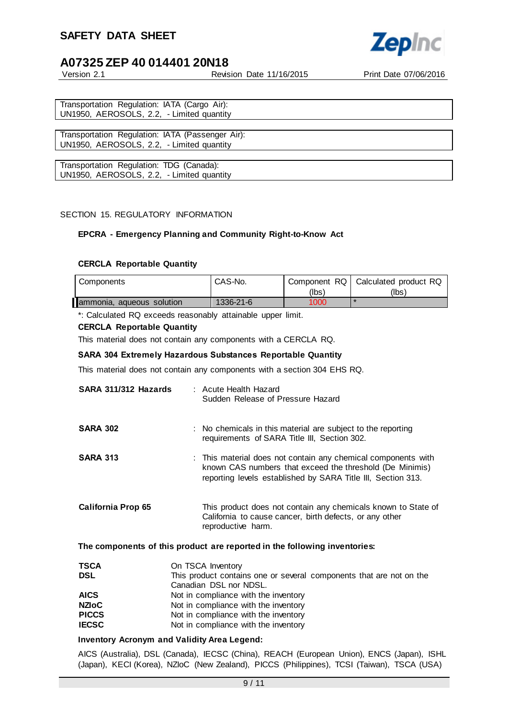

Version 2.1 Revision Date 11/16/2015 Print Date 07/06/2016

Transportation Regulation: IATA (Cargo Air): UN1950, AEROSOLS, 2.2, - Limited quantity

Transportation Regulation: IATA (Passenger Air): UN1950, AEROSOLS, 2.2, - Limited quantity

Transportation Regulation: TDG (Canada): UN1950, AEROSOLS, 2.2, - Limited quantity

#### SECTION 15. REGULATORY INFORMATION

#### **EPCRA - Emergency Planning and Community Right-to-Know Act**

#### **CERCLA Reportable Quantity**

| Components                | CAS-No.   | (lbs) | Component RQ   Calculated product RQ<br>(lbs) |
|---------------------------|-----------|-------|-----------------------------------------------|
| ammonia, aqueous solution | 1336-21-6 | 1000  |                                               |

\*: Calculated RQ exceeds reasonably attainable upper limit.

#### **CERCLA Reportable Quantity**

This material does not contain any components with a CERCLA RQ.

#### **SARA 304 Extremely Hazardous Substances Reportable Quantity**

This material does not contain any components with a section 304 EHS RQ.

| SARA 311/312 Hazards      | : Acute Health Hazard<br>Sudden Release of Pressure Hazard                                                                                                                                |
|---------------------------|-------------------------------------------------------------------------------------------------------------------------------------------------------------------------------------------|
| <b>SARA 302</b>           | : No chemicals in this material are subject to the reporting<br>requirements of SARA Title III, Section 302.                                                                              |
| <b>SARA 313</b>           | : This material does not contain any chemical components with<br>known CAS numbers that exceed the threshold (De Minimis)<br>reporting levels established by SARA Title III, Section 313. |
| <b>California Prop 65</b> | This product does not contain any chemicals known to State of<br>California to cause cancer, birth defects, or any other<br>reproductive harm.                                            |

#### **The components of this product are reported in the following inventories:**

| <b>TSCA</b>  | On TSCA Inventory                                                   |
|--------------|---------------------------------------------------------------------|
| <b>DSL</b>   | This product contains one or several components that are not on the |
|              | Canadian DSL nor NDSL.                                              |
| <b>AICS</b>  | Not in compliance with the inventory                                |
| <b>NZIoC</b> | Not in compliance with the inventory                                |
| <b>PICCS</b> | Not in compliance with the inventory                                |
| <b>IECSC</b> | Not in compliance with the inventory                                |

#### **Inventory Acronym and Validity Area Legend:**

AICS (Australia), DSL (Canada), IECSC (China), REACH (European Union), ENCS (Japan), ISHL (Japan), KECI (Korea), NZIoC (New Zealand), PICCS (Philippines), TCSI (Taiwan), TSCA (USA)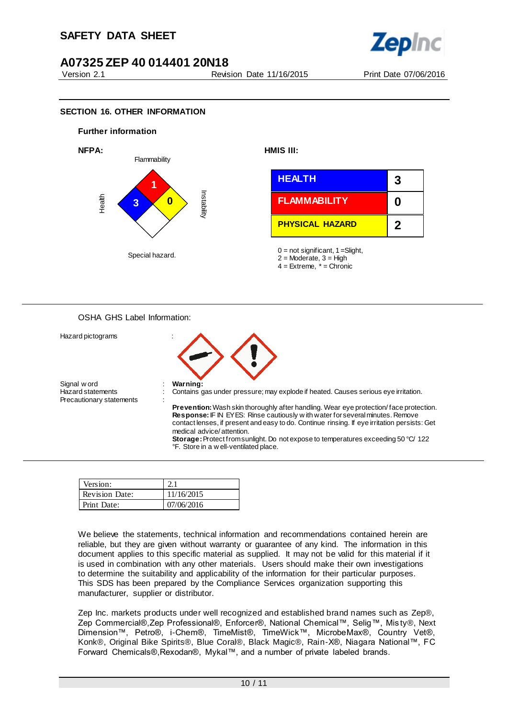

#### **SECTION 16. OTHER INFORMATION**



#### OSHA GHS Label Information:



| Version:              |            |
|-----------------------|------------|
| <b>Revision Date:</b> | 11/16/2015 |
| Print Date:           | 07/06/2016 |

We believe the statements, technical information and recommendations contained herein are reliable, but they are given without warranty or guarantee of any kind. The information in this document applies to this specific material as supplied. It may not be valid for this material if it is used in combination with any other materials. Users should make their own investigations to determine the suitability and applicability of the information for their particular purposes. This SDS has been prepared by the Compliance Services organization supporting this manufacturer, supplier or distributor.

Zep Inc. markets products under well recognized and established brand names such as Zep®, Zep Commercial®,Zep Professional®, Enforcer®, National Chemical™, Selig™, Mis ty®, Next Dimension™, Petro®, i-Chem®, TimeMist®, TimeWick™, MicrobeMax®, Country Vet®, Konk®, Original Bike Spirits®, Blue Coral®, Black Magic®, Rain-X®, Niagara National™, FC Forward Chemicals®,Rexodan®, Mykal™, and a number of private labeled brands.